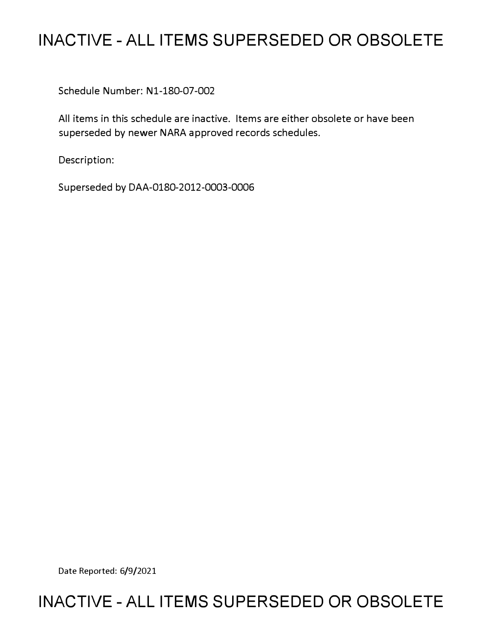## **INACTIVE - ALL ITEMS SUPERSEDED OR OBSOLETE**

Schedule Number: Nl-180-07-002

All items in this schedule are inactive. Items are either obsolete or have been superseded by newer NARA approved records schedules.

Description:

Superseded by DAA-0180-2012-0003-0006

Date Reported: 6/9/2021

## **INACTIVE - ALL ITEMS SUPERSEDED OR OBSOLETE**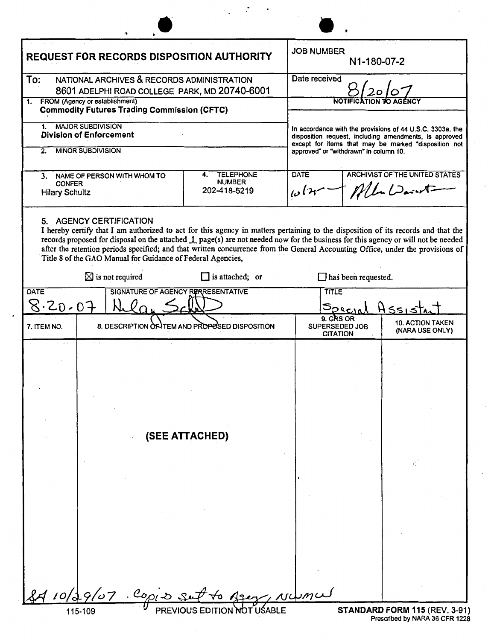| <b>REQUEST FOR RECORDS DISPOSITION AUTHORITY</b>                                                   |                                                                                                                                                                                                                                                                                                                                                                                                                                                                                                     |                                                         | <b>JOB NUMBER</b><br>N1-180-07-2                                                                                                                                                                                      |                                                   |
|----------------------------------------------------------------------------------------------------|-----------------------------------------------------------------------------------------------------------------------------------------------------------------------------------------------------------------------------------------------------------------------------------------------------------------------------------------------------------------------------------------------------------------------------------------------------------------------------------------------------|---------------------------------------------------------|-----------------------------------------------------------------------------------------------------------------------------------------------------------------------------------------------------------------------|---------------------------------------------------|
| To:<br>NATIONAL ARCHIVES & RECORDS ADMINISTRATION<br>8601 ADELPHI ROAD COLLEGE PARK, MD 20740-6001 |                                                                                                                                                                                                                                                                                                                                                                                                                                                                                                     |                                                         | Date received                                                                                                                                                                                                         |                                                   |
| FROM (Agency or establishment)<br>1.<br><b>Commodity Futures Trading Commission (CFTC)</b>         |                                                                                                                                                                                                                                                                                                                                                                                                                                                                                                     |                                                         |                                                                                                                                                                                                                       |                                                   |
| <b>MAJOR SUBDIVISION</b><br>1.<br><b>Division of Enforcement</b>                                   |                                                                                                                                                                                                                                                                                                                                                                                                                                                                                                     |                                                         | In accordance with the provisions of 44 U.S.C. 3303a, the<br>disposition request, including amendments, is approved<br>except for items that may be marked "disposition not<br>approved" or "withdrawn" in column 10. |                                                   |
| <b>MINOR SUBDIVISION</b><br>2.                                                                     |                                                                                                                                                                                                                                                                                                                                                                                                                                                                                                     |                                                         |                                                                                                                                                                                                                       |                                                   |
| 3. NAME OF PERSON WITH WHOM TO<br><b>CONFER</b><br><b>Hilary Schultz</b>                           |                                                                                                                                                                                                                                                                                                                                                                                                                                                                                                     | <b>TELEPHONE</b><br>4.<br><b>NUMBER</b><br>202-418-5219 | <b>DATE</b><br>سوا دا                                                                                                                                                                                                 | <b>ARCHIVIST OF THE UNITED STATES</b><br>Mln Dant |
|                                                                                                    | 5. AGENCY CERTIFICATION<br>I hereby certify that I am authorized to act for this agency in matters pertaining to the disposition of its records and that the<br>records proposed for disposal on the attached 1 page(s) are not needed now for the business for this agency or will not be needed<br>after the retention periods specified; and that written concurrence from the General Accounting Office, under the provisions of<br>Title 8 of the GAO Manual for Guidance of Federal Agencies, |                                                         |                                                                                                                                                                                                                       |                                                   |
|                                                                                                    | $\boxtimes$ is not required                                                                                                                                                                                                                                                                                                                                                                                                                                                                         | $\Box$ is attached; or                                  | $\Box$ has been requested.                                                                                                                                                                                            |                                                   |
| SIGNATURE OF AGENCY RERRESENTATIVE<br><b>DATE</b><br>8.20.07                                       |                                                                                                                                                                                                                                                                                                                                                                                                                                                                                                     |                                                         | <b>TITLE</b><br>Soucre                                                                                                                                                                                                |                                                   |
| 7. ITEM NO.                                                                                        |                                                                                                                                                                                                                                                                                                                                                                                                                                                                                                     | 8. DESCRIPTION OF TEM AND PROPOSED DISPOSITION          | 9. GRS OR<br><b>SUPERSEDED JOB</b><br><b>CITATION</b>                                                                                                                                                                 | <b>10. ACTION TAKEN</b><br>(NARA USE ONLY)        |
|                                                                                                    |                                                                                                                                                                                                                                                                                                                                                                                                                                                                                                     | (SEE ATTACHED)                                          |                                                                                                                                                                                                                       |                                                   |
|                                                                                                    |                                                                                                                                                                                                                                                                                                                                                                                                                                                                                                     |                                                         |                                                                                                                                                                                                                       |                                                   |
| 10/                                                                                                | $e_{\text{opt}}$ is s<br>9/07                                                                                                                                                                                                                                                                                                                                                                                                                                                                       | PREVIOUS EDITION NOT                                    | $m\alpha$                                                                                                                                                                                                             | STANDARD FORM 115 (REV. 3-91)                     |